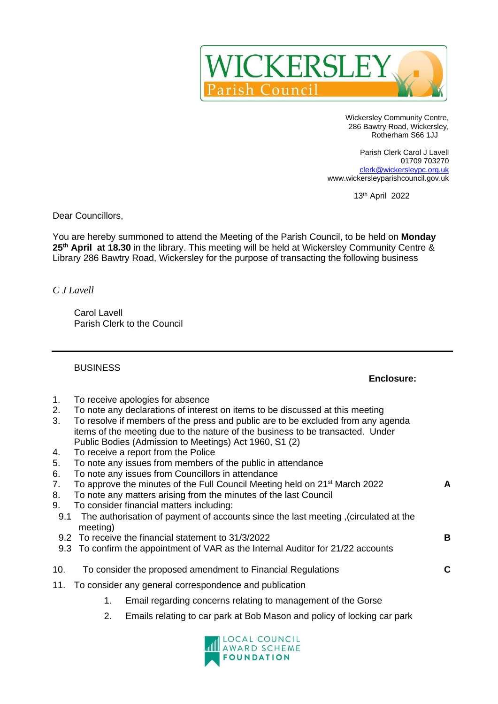

Wickersley Community Centre, 286 Bawtry Road, Wickersley, Rotherham S66 1JJ

Parish Clerk Carol J Lavell 01709 703270 [clerk@wickersleypc.org.uk](mailto:clerk@wickersleypc.org.uk) www.wickersleyparishcouncil.gov.uk

13 th April 2022

Dear Councillors,

You are hereby summoned to attend the Meeting of the Parish Council, to be held on **Monday 25 th April at 18.30** in the library. This meeting will be held at Wickersley Community Centre & Library 286 Bawtry Road, Wickersley for the purpose of transacting the following business

*C J Lavell*

Carol Lavell Parish Clerk to the Council

BUSINESS

## **Enclosure:**

- 1. To receive apologies for absence
- 2. To note any declarations of interest on items to be discussed at this meeting
- 3. To resolve if members of the press and public are to be excluded from any agenda items of the meeting due to the nature of the business to be transacted. Under Public Bodies (Admission to Meetings) Act 1960, S1 (2)
- 4. To receive a report from the Police
- 5. To note any issues from members of the public in attendance
- 6. To note any issues from Councillors in attendance
- 7. To approve the minutes of the Full Council Meeting held on 21 st March 2022 **A**
- 8. To note any matters arising from the minutes of the last Council
- 9. To consider financial matters including:
- 9.1 The authorisation of payment of accounts since the last meeting ,(circulated at the meeting)
- 9.2 To receive the financial statement to 31/3/2022 **B**
- 9.3 To confirm the appointment of VAR as the Internal Auditor for 21/22 accounts
- 10. To consider the proposed amendment to Financial Regulations **C**
- 11. To consider any general correspondence and publication
	- 1. Email regarding concerns relating to management of the Gorse
	- 2. Emails relating to car park at Bob Mason and policy of locking car park